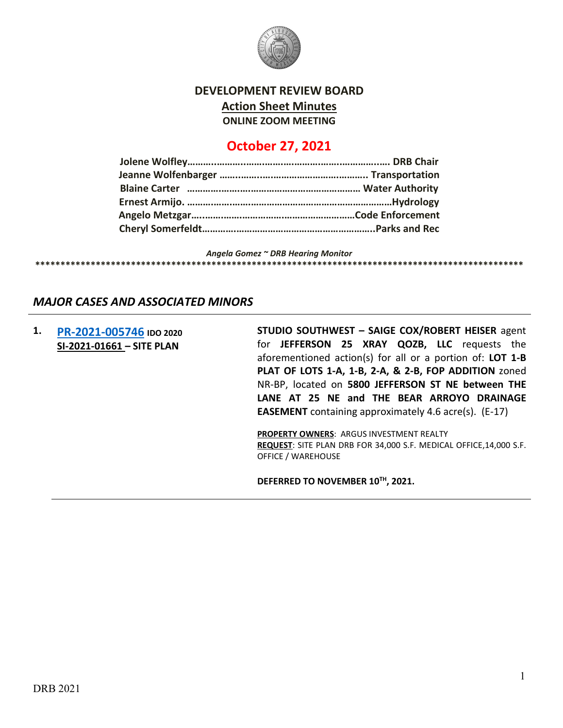

#### **DEVELOPMENT REVIEW BOARD Action Sheet Minutes ONLINE ZOOM MEETING**

### **October 27, 2021**

*Angela Gomez ~ DRB Hearing Monitor* **\*\*\*\*\*\*\*\*\*\*\*\*\*\*\*\*\*\*\*\*\*\*\*\*\*\*\*\*\*\*\*\*\*\*\*\*\*\*\*\*\*\*\*\*\*\*\*\*\*\*\*\*\*\*\*\*\*\*\*\*\*\*\*\*\*\*\*\*\*\*\*\*\*\*\*\*\*\*\*\*\*\*\*\*\*\*\*\*\*\*\*\*\*\*\*\*\***

# *MAJOR CASES AND ASSOCIATED MINORS*

**1. [PR-2021-005746](http://data.cabq.gov/government/planning/DRB/PR-2021-005746/DRB%20Submittals/PR-2021-005746%20_Oct_27_2021%20(Site%20Plan)/) IDO 2020 SI-2021-01661 – SITE PLAN**

**STUDIO SOUTHWEST – SAIGE COX/ROBERT HEISER** agent for **JEFFERSON 25 XRAY QOZB, LLC** requests the aforementioned action(s) for all or a portion of: **LOT 1-B PLAT OF LOTS 1-A, 1-B, 2-A, & 2-B, FOP ADDITION** zoned NR-BP, located on **5800 JEFFERSON ST NE between THE LANE AT 25 NE and THE BEAR ARROYO DRAINAGE EASEMENT** containing approximately 4.6 acre(s). (E-17)

**PROPERTY OWNERS**: ARGUS INVESTMENT REALTY **REQUEST**: SITE PLAN DRB FOR 34,000 S.F. MEDICAL OFFICE,14,000 S.F. OFFICE / WAREHOUSE

**DEFERRED TO NOVEMBER 10TH, 2021.**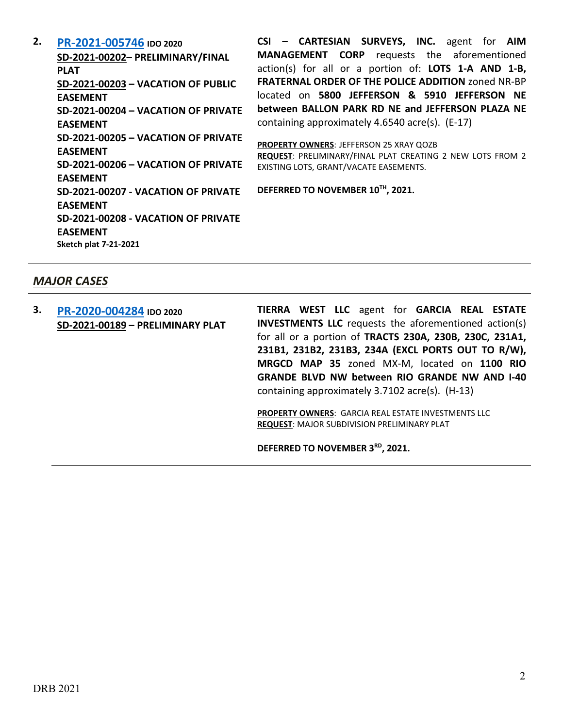**2. [PR-2021-005746](http://data.cabq.gov/government/planning/DRB/PR-2021-005746/DRB%20Submittals/PR-2021-005746_Oct_27_2021%20(P&F,%20VPRE,%20VPE%20x5)/PR-2021-005746_DRB_app_complete.pdf) IDO 2020 SD-2021-00202– PRELIMINARY/FINAL PLAT SD-2021-00203 – VACATION OF PUBLIC EASEMENT SD-2021-00204 – VACATION OF PRIVATE EASEMENT SD-2021-00205 – VACATION OF PRIVATE EASEMENT SD-2021-00206 – VACATION OF PRIVATE EASEMENT SD-2021-00207 - VACATION OF PRIVATE EASEMENT SD-2021-00208 - VACATION OF PRIVATE EASEMENT Sketch plat 7-21-2021**

**CSI – CARTESIAN SURVEYS, INC.** agent for **AIM MANAGEMENT CORP** requests the aforementioned action(s) for all or a portion of: **LOTS 1-A AND 1-B, FRATERNAL ORDER OF THE POLICE ADDITION** zoned NR-BP located on **5800 JEFFERSON & 5910 JEFFERSON NE between BALLON PARK RD NE and JEFFERSON PLAZA NE** containing approximately 4.6540 acre(s). (E-17)

**PROPERTY OWNERS**: JEFFERSON 25 XRAY QOZB **REQUEST**: PRELIMINARY/FINAL PLAT CREATING 2 NEW LOTS FROM 2 EXISTING LOTS, GRANT/VACATE EASEMENTS.

**DEFERRED TO NOVEMBER 10TH, 2021.**

#### *MAJOR CASES*

**3. [PR-2020-004284](http://data.cabq.gov/government/planning/DRB/PR-2020-004284/PR-2020-004284_Oct_27_2021/Application/) IDO 2020 SD-2021-00189 – PRELIMINARY PLAT** **TIERRA WEST LLC** agent for **GARCIA REAL ESTATE INVESTMENTS LLC** requests the aforementioned action(s) for all or a portion of **TRACTS 230A, 230B, 230C, 231A1, 231B1, 231B2, 231B3, 234A (EXCL PORTS OUT TO R/W), MRGCD MAP 35** zoned MX-M, located on **1100 RIO GRANDE BLVD NW between RIO GRANDE NW AND I-40** containing approximately 3.7102 acre(s). (H-13)

**PROPERTY OWNERS**: GARCIA REAL ESTATE INVESTMENTS LLC **REQUEST**: MAJOR SUBDIVISION PRELIMINARY PLAT

**DEFERRED TO NOVEMBER 3RD, 2021.**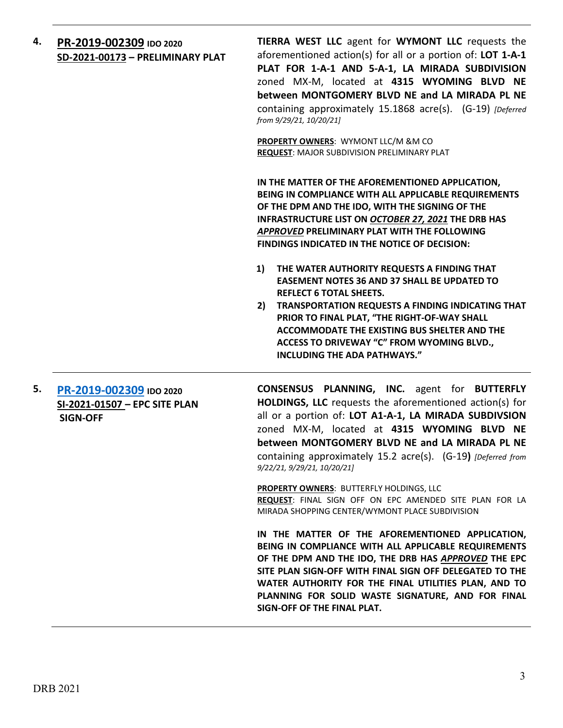**4. [PR-2019-002309](http://data.cabq.gov/government/planning/DRB/PR-2019-002309/DRB%20Submittals/PR-2019-002309_Oct_27_2021_Supp/2021008%2010-21%20Wymont%20DRB%20Supplemental%20.pdf) IDO 2020 SD-2021-00173 – PRELIMINARY PLAT** **TIERRA WEST LLC** agent for **WYMONT LLC** requests the aforementioned action(s) for all or a portion of: **LOT 1-A-1 PLAT FOR 1-A-1 AND 5-A-1, LA MIRADA SUBDIVISION** zoned MX-M, located at **4315 WYOMING BLVD NE between MONTGOMERY BLVD NE and LA MIRADA PL NE** containing approximately 15.1868 acre(s). (G-19) *[Deferred from 9/29/21, 10/20/21]*

**PROPERTY OWNERS**: WYMONT LLC/M &M CO **REQUEST**: MAJOR SUBDIVISION PRELIMINARY PLAT

**IN THE MATTER OF THE AFOREMENTIONED APPLICATION, BEING IN COMPLIANCE WITH ALL APPLICABLE REQUIREMENTS OF THE DPM AND THE IDO, WITH THE SIGNING OF THE INFRASTRUCTURE LIST ON** *OCTOBER 27, 2021* **THE DRB HAS**  *APPROVED* **PRELIMINARY PLAT WITH THE FOLLOWING FINDINGS INDICATED IN THE NOTICE OF DECISION:** 

- **1) THE WATER AUTHORITY REQUESTS A FINDING THAT EASEMENT NOTES 36 AND 37 SHALL BE UPDATED TO REFLECT 6 TOTAL SHEETS.**
- **2) TRANSPORTATION REQUESTS A FINDING INDICATING THAT PRIOR TO FINAL PLAT, "THE RIGHT-OF-WAY SHALL ACCOMMODATE THE EXISTING BUS SHELTER AND THE ACCESS TO DRIVEWAY "C" FROM WYOMING BLVD., INCLUDING THE ADA PATHWAYS."**
- **5. [PR-2019-002309](http://data.cabq.gov/government/planning/DRB/PR-2019-002309/DRB%20Submittals/PR-2019-002309_Oct_27_2021_Supp/2021008%2010-21%20Wymont%20DRB%20Supplemental%20.pdf) IDO 2020 SI-2021-01507 – EPC SITE PLAN SIGN-OFF**

**CONSENSUS PLANNING, INC.** agent for **BUTTERFLY HOLDINGS, LLC** requests the aforementioned action(s) for all or a portion of: **LOT A1-A-1, LA MIRADA SUBDIVSION**  zoned MX-M, located at **4315 WYOMING BLVD NE between MONTGOMERY BLVD NE and LA MIRADA PL NE** containing approximately 15.2 acre(s). (G-19**)** *[Deferred from 9/22/21, 9/29/21, 10/20/21]*

**PROPERTY OWNERS**: BUTTERFLY HOLDINGS, LLC **REQUEST**: FINAL SIGN OFF ON EPC AMENDED SITE PLAN FOR LA MIRADA SHOPPING CENTER/WYMONT PLACE SUBDIVISION

**IN THE MATTER OF THE AFOREMENTIONED APPLICATION, BEING IN COMPLIANCE WITH ALL APPLICABLE REQUIREMENTS OF THE DPM AND THE IDO, THE DRB HAS** *APPROVED* **THE EPC SITE PLAN SIGN-OFF WITH FINAL SIGN OFF DELEGATED TO THE WATER AUTHORITY FOR THE FINAL UTILITIES PLAN, AND TO PLANNING FOR SOLID WASTE SIGNATURE, AND FOR FINAL SIGN-OFF OF THE FINAL PLAT.**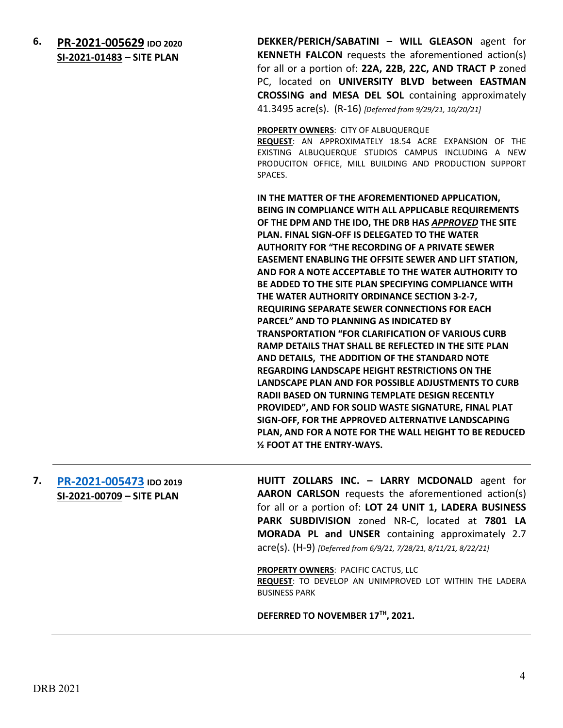#### **6. [PR-2021-005629](http://data.cabq.gov/government/planning/DRB/PR-2021-005629/DRB%20Submittals/) IDO 2020 SI-2021-01483 – SITE PLAN**

**DEKKER/PERICH/SABATINI – WILL GLEASON** agent for **KENNETH FALCON** requests the aforementioned action(s) for all or a portion of: **22A, 22B, 22C, AND TRACT P** zoned PC, located on **UNIVERSITY BLVD between EASTMAN CROSSING and MESA DEL SOL** containing approximately 41.3495 acre(s). (R-16) *[Deferred from 9/29/21, 10/20/21]*

**PROPERTY OWNERS**: CITY OF ALBUQUERQUE

**REQUEST**: AN APPROXIMATELY 18.54 ACRE EXPANSION OF THE EXISTING ALBUQUERQUE STUDIOS CAMPUS INCLUDING A NEW PRODUCITON OFFICE, MILL BUILDING AND PRODUCTION SUPPORT SPACES.

**IN THE MATTER OF THE AFOREMENTIONED APPLICATION, BEING IN COMPLIANCE WITH ALL APPLICABLE REQUIREMENTS OF THE DPM AND THE IDO, THE DRB HAS** *APPROVED* **THE SITE PLAN. FINAL SIGN-OFF IS DELEGATED TO THE WATER AUTHORITY FOR "THE RECORDING OF A PRIVATE SEWER EASEMENT ENABLING THE OFFSITE SEWER AND LIFT STATION, AND FOR A NOTE ACCEPTABLE TO THE WATER AUTHORITY TO BE ADDED TO THE SITE PLAN SPECIFYING COMPLIANCE WITH THE WATER AUTHORITY ORDINANCE SECTION 3-2-7, REQUIRING SEPARATE SEWER CONNECTIONS FOR EACH PARCEL" AND TO PLANNING AS INDICATED BY TRANSPORTATION "FOR CLARIFICATION OF VARIOUS CURB RAMP DETAILS THAT SHALL BE REFLECTED IN THE SITE PLAN AND DETAILS, THE ADDITION OF THE STANDARD NOTE REGARDING LANDSCAPE HEIGHT RESTRICTIONS ON THE LANDSCAPE PLAN AND FOR POSSIBLE ADJUSTMENTS TO CURB RADII BASED ON TURNING TEMPLATE DESIGN RECENTLY PROVIDED", AND FOR SOLID WASTE SIGNATURE, FINAL PLAT SIGN-OFF, FOR THE APPROVED ALTERNATIVE LANDSCAPING PLAN, AND FOR A NOTE FOR THE WALL HEIGHT TO BE REDUCED ½ FOOT AT THE ENTRY-WAYS.**

#### **7. [PR-2021-005473](http://data.cabq.gov/government/planning/DRB/PR-2021-005473/DRB%20Submittals/) IDO 2019 SI-2021-00709 – SITE PLAN**

**HUITT ZOLLARS INC. – LARRY MCDONALD** agent for **AARON CARLSON** requests the aforementioned action(s) for all or a portion of: **LOT 24 UNIT 1, LADERA BUSINESS PARK SUBDIVISION** zoned NR-C, located at **7801 LA MORADA PL and UNSER** containing approximately 2.7 acre(s). (H-9) *[Deferred from 6/9/21, 7/28/21, 8/11/21, 8/22/21]*

**PROPERTY OWNERS**: PACIFIC CACTUS, LLC

**REQUEST**: TO DEVELOP AN UNIMPROVED LOT WITHIN THE LADERA BUSINESS PARK

**DEFERRED TO NOVEMBER 17TH, 2021.**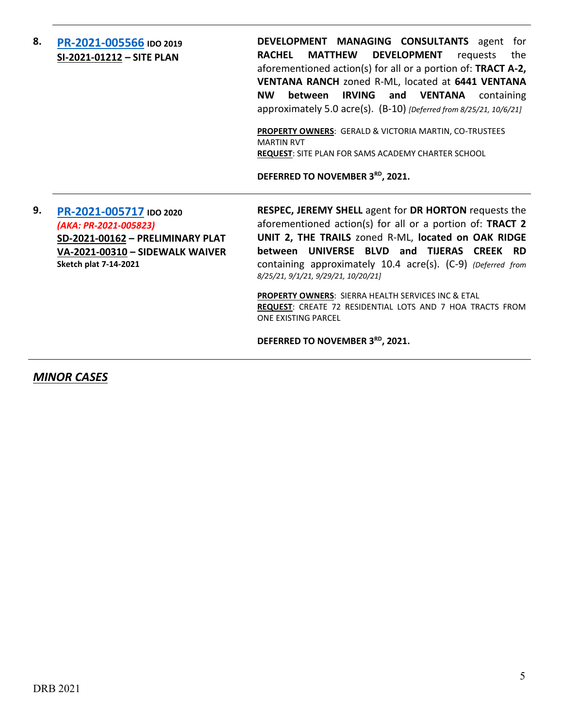#### **8. [PR-2021-005566](http://data.cabq.gov/government/planning/DRB/PR-2021-005566/DRB%20Submittals/) IDO 2019 SI-2021-01212 – SITE PLAN**

**DEVELOPMENT MANAGING CONSULTANTS** agent for **RACHEL MATTHEW DEVELOPMENT** requests the aforementioned action(s) for all or a portion of: **TRACT A-2, VENTANA RANCH** zoned R-ML, located at **6441 VENTANA NW between IRVING and VENTANA** containing approximately 5.0 acre(s). (B-10) *[Deferred from 8/25/21, 10/6/21]*

**PROPERTY OWNERS**: GERALD & VICTORIA MARTIN, CO-TRUSTEES MARTIN RVT **REQUEST**: SITE PLAN FOR SAMS ACADEMY CHARTER SCHOOL

**DEFERRED TO NOVEMBER 3RD, 2021.**

**9. [PR-2021-005717](http://data.cabq.gov/government/planning/DRB/PR-2021-005717/DRB%20Submittals/) IDO 2020** *(AKA: PR-2021-005823)* **SD-2021-00162 – PRELIMINARY PLAT VA-2021-00310 – SIDEWALK WAIVER Sketch plat 7-14-2021**

**RESPEC, JEREMY SHELL** agent for **DR HORTON** requests the aforementioned action(s) for all or a portion of: **TRACT 2 UNIT 2, THE TRAILS** zoned R-ML, **located on OAK RIDGE between UNIVERSE BLVD and TIJERAS CREEK RD** containing approximately 10.4 acre(s). (C-9) *(Deferred from 8/25/21, 9/1/21, 9/29/21, 10/20/21]*

**PROPERTY OWNERS**: SIERRA HEALTH SERVICES INC & ETAL **REQUEST**: CREATE 72 RESIDENTIAL LOTS AND 7 HOA TRACTS FROM ONE EXISTING PARCEL

**DEFERRED TO NOVEMBER 3RD, 2021.**

*MINOR CASES*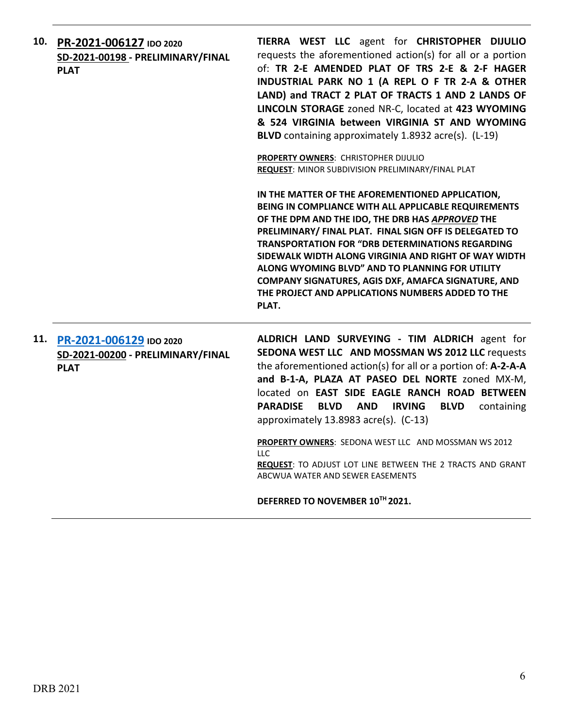|     | 10. PR-2021-006127 IDO 2020<br>SD-2021-00198 - PRELIMINARY/FINAL<br><b>PLAT</b> | TIERRA WEST LLC agent for CHRISTOPHER DIJULIO<br>requests the aforementioned action(s) for all or a portion<br>of: TR 2-E AMENDED PLAT OF TRS 2-E & 2-F HAGER<br>INDUSTRIAL PARK NO 1 (A REPL O F TR 2-A & OTHER<br>LAND) and TRACT 2 PLAT OF TRACTS 1 AND 2 LANDS OF<br>LINCOLN STORAGE zoned NR-C, located at 423 WYOMING<br>& 524 VIRGINIA between VIRGINIA ST AND WYOMING<br>BLVD containing approximately 1.8932 acre(s). (L-19)                                                                              |
|-----|---------------------------------------------------------------------------------|--------------------------------------------------------------------------------------------------------------------------------------------------------------------------------------------------------------------------------------------------------------------------------------------------------------------------------------------------------------------------------------------------------------------------------------------------------------------------------------------------------------------|
|     |                                                                                 | PROPERTY OWNERS: CHRISTOPHER DIJULIO<br>REQUEST: MINOR SUBDIVISION PRELIMINARY/FINAL PLAT                                                                                                                                                                                                                                                                                                                                                                                                                          |
|     |                                                                                 | IN THE MATTER OF THE AFOREMENTIONED APPLICATION,<br>BEING IN COMPLIANCE WITH ALL APPLICABLE REQUIREMENTS<br>OF THE DPM AND THE IDO, THE DRB HAS APPROVED THE<br>PRELIMINARY/ FINAL PLAT. FINAL SIGN OFF IS DELEGATED TO<br><b>TRANSPORTATION FOR "DRB DETERMINATIONS REGARDING</b><br>SIDEWALK WIDTH ALONG VIRGINIA AND RIGHT OF WAY WIDTH<br>ALONG WYOMING BLVD" AND TO PLANNING FOR UTILITY<br>COMPANY SIGNATURES, AGIS DXF, AMAFCA SIGNATURE, AND<br>THE PROJECT AND APPLICATIONS NUMBERS ADDED TO THE<br>PLAT. |
| 11. | PR-2021-006129 IDO 2020<br>SD-2021-00200 - PRELIMINARY/FINAL<br><b>PLAT</b>     | ALDRICH LAND SURVEYING - TIM ALDRICH agent for<br>SEDONA WEST LLC AND MOSSMAN WS 2012 LLC requests<br>the aforementioned action(s) for all or a portion of: A-2-A-A<br>and B-1-A, PLAZA AT PASEO DEL NORTE zoned MX-M,<br>located on EAST SIDE EAGLE RANCH ROAD BETWEEN<br><b>PARADISE</b><br><b>BLVD AND</b><br><b>IRVING</b><br><b>BLVD</b><br>containing<br>approximately 13.8983 acre(s). (C-13)                                                                                                               |
|     |                                                                                 | PROPERTY OWNERS: SEDONA WEST LLC AND MOSSMAN WS 2012<br><b>LLC</b><br>REQUEST: TO ADJUST LOT LINE BETWEEN THE 2 TRACTS AND GRANT<br>ABCWUA WATER AND SEWER EASEMENTS                                                                                                                                                                                                                                                                                                                                               |
|     |                                                                                 | DEFERRED TO NOVEMBER 10TH 2021.                                                                                                                                                                                                                                                                                                                                                                                                                                                                                    |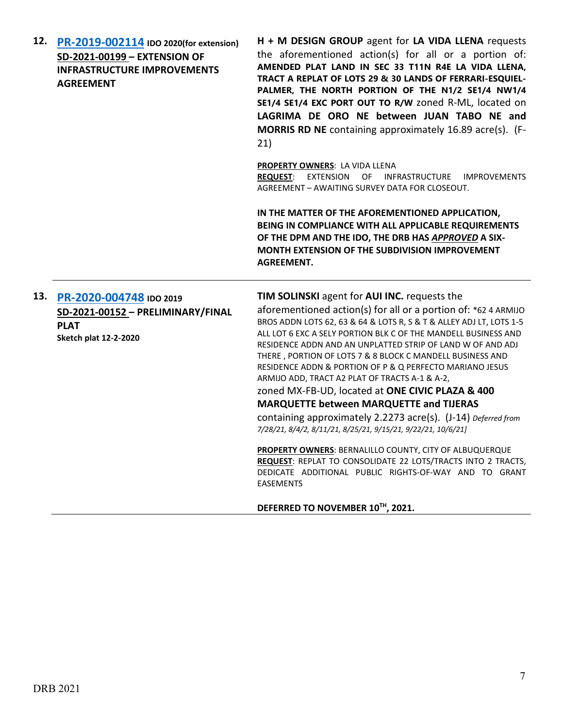| 12. PR-2019-002114 IDO 2020(for extension)<br>SD-2021-00199 - EXTENSION OF<br><b>INFRASTRUCTURE IMPROVEMENTS</b><br><b>AGREEMENT</b> | H + M DESIGN GROUP agent for LA VIDA LLENA requests<br>the aforementioned action(s) for all or a portion of:<br>AMENDED PLAT LAND IN SEC 33 T11N R4E LA VIDA LLENA,<br>TRACT A REPLAT OF LOTS 29 & 30 LANDS OF FERRARI-ESQUIEL-<br>PALMER, THE NORTH PORTION OF THE N1/2 SE1/4 NW1/4<br>SE1/4 SE1/4 EXC PORT OUT TO R/W zoned R-ML, located on<br>LAGRIMA DE ORO NE between JUAN TABO NE and<br><b>MORRIS RD NE</b> containing approximately 16.89 acre(s). (F-<br>21) |
|--------------------------------------------------------------------------------------------------------------------------------------|------------------------------------------------------------------------------------------------------------------------------------------------------------------------------------------------------------------------------------------------------------------------------------------------------------------------------------------------------------------------------------------------------------------------------------------------------------------------|
|                                                                                                                                      | PROPERTY OWNERS: LA VIDA LLENA<br>REQUEST: EXTENSION OF INFRASTRUCTURE IMPROVEMENTS<br>AGREEMENT - AWAITING SURVEY DATA FOR CLOSEOUT.                                                                                                                                                                                                                                                                                                                                  |
|                                                                                                                                      | IN THE MATTER OF THE AFOREMENTIONED APPLICATION,<br>BEING IN COMPLIANCE WITH ALL APPLICABLE REQUIREMENTS<br>OF THE DPM AND THE IDO, THE DRB HAS APPROVED A SIX-<br>MONTH EXTENSION OF THE SUBDIVISION IMPROVEMENT<br><b>AGREEMENT.</b>                                                                                                                                                                                                                                 |
| 13. PR-2020-004748 IDO 2019                                                                                                          | TIM SOLINSKI agent for AUI INC. requests the                                                                                                                                                                                                                                                                                                                                                                                                                           |
| SD-2021-00152 - PRELIMINARY/FINAL                                                                                                    | aforementioned action(s) for all or a portion of: *62 4 ARMIJO<br>BROS ADDN LOTS 62, 63 & 64 & LOTS R, S & T & ALLEY ADJ LT, LOTS 1-5                                                                                                                                                                                                                                                                                                                                  |
| <b>PLAT</b><br><b>Sketch plat 12-2-2020</b>                                                                                          | ALL LOT 6 EXC A SELY PORTION BLK C OF THE MANDELL BUSINESS AND<br>RESIDENCE ADDN AND AN UNPLATTED STRIP OF LAND W OF AND ADJ<br>THERE, PORTION OF LOTS 7 & 8 BLOCK C MANDELL BUSINESS AND<br>RESIDENCE ADDN & PORTION OF P & Q PERFECTO MARIANO JESUS<br>ARMIJO ADD, TRACT A2 PLAT OF TRACTS A-1 & A-2,                                                                                                                                                                |
|                                                                                                                                      | zoned MX-FB-UD, located at ONE CIVIC PLAZA & 400                                                                                                                                                                                                                                                                                                                                                                                                                       |
|                                                                                                                                      | <b>MARQUETTE between MARQUETTE and TIJERAS</b>                                                                                                                                                                                                                                                                                                                                                                                                                         |
|                                                                                                                                      | containing approximately 2.2273 acre(s). (J-14) Deferred from<br>7/28/21, 8/4/2, 8/11/21, 8/25/21, 9/15/21, 9/22/21, 10/6/21]                                                                                                                                                                                                                                                                                                                                          |
|                                                                                                                                      | PROPERTY OWNERS: BERNALILLO COUNTY, CITY OF ALBUQUERQUE<br>REQUEST: REPLAT TO CONSOLIDATE 22 LOTS/TRACTS INTO 2 TRACTS,<br>DEDICATE ADDITIONAL PUBLIC RIGHTS-OF-WAY AND TO GRANT<br><b>EASEMENTS</b>                                                                                                                                                                                                                                                                   |

**DEFERRED TO NOVEMBER 10TH, 2021.**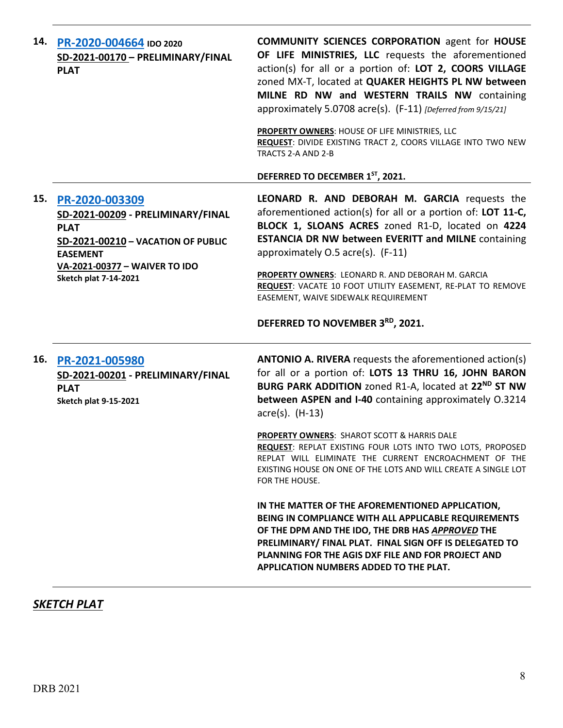| 14. PR-2020-004664 IDO 2020<br>SD-2021-00170 - PRELIMINARY/FINAL<br><b>PLAT</b>                                                                                                                  | <b>COMMUNITY SCIENCES CORPORATION agent for HOUSE</b><br>OF LIFE MINISTRIES, LLC requests the aforementioned<br>action(s) for all or a portion of: LOT 2, COORS VILLAGE<br>zoned MX-T, located at QUAKER HEIGHTS PL NW between<br>MILNE RD NW and WESTERN TRAILS NW containing<br>approximately 5.0708 acre(s). (F-11) [Deferred from 9/15/21]<br>PROPERTY OWNERS: HOUSE OF LIFE MINISTRIES, LLC |
|--------------------------------------------------------------------------------------------------------------------------------------------------------------------------------------------------|--------------------------------------------------------------------------------------------------------------------------------------------------------------------------------------------------------------------------------------------------------------------------------------------------------------------------------------------------------------------------------------------------|
|                                                                                                                                                                                                  | REQUEST: DIVIDE EXISTING TRACT 2, COORS VILLAGE INTO TWO NEW<br>TRACTS 2-A AND 2-B<br>DEFERRED TO DECEMBER 1ST, 2021.                                                                                                                                                                                                                                                                            |
| 15. PR-2020-003309<br>SD-2021-00209 - PRELIMINARY/FINAL<br><b>PLAT</b><br>SD-2021-00210 - VACATION OF PUBLIC<br><b>EASEMENT</b><br>VA-2021-00377 - WAIVER TO IDO<br><b>Sketch plat 7-14-2021</b> | LEONARD R. AND DEBORAH M. GARCIA requests the<br>aforementioned action(s) for all or a portion of: LOT 11-C,<br>BLOCK 1, SLOANS ACRES zoned R1-D, located on 4224<br><b>ESTANCIA DR NW between EVERITT and MILNE containing</b><br>approximately 0.5 acre(s). (F-11)<br>PROPERTY OWNERS: LEONARD R. AND DEBORAH M. GARCIA                                                                        |
|                                                                                                                                                                                                  | REQUEST: VACATE 10 FOOT UTILITY EASEMENT, RE-PLAT TO REMOVE<br>EASEMENT, WAIVE SIDEWALK REQUIREMENT<br>DEFERRED TO NOVEMBER 3RD, 2021.                                                                                                                                                                                                                                                           |
|                                                                                                                                                                                                  |                                                                                                                                                                                                                                                                                                                                                                                                  |
| 16. PR-2021-005980<br>SD-2021-00201 - PRELIMINARY/FINAL<br><b>PLAT</b><br><b>Sketch plat 9-15-2021</b>                                                                                           | <b>ANTONIO A. RIVERA</b> requests the aforementioned action(s)<br>for all or a portion of: LOTS 13 THRU 16, JOHN BARON<br>BURG PARK ADDITION zoned R1-A, located at 22 <sup>ND</sup> ST NW<br>between ASPEN and I-40 containing approximately O.3214<br>acre(s). (H-13)                                                                                                                          |
|                                                                                                                                                                                                  | <b>PROPERTY OWNERS: SHAROT SCOTT &amp; HARRIS DALE</b><br>REQUEST: REPLAT EXISTING FOUR LOTS INTO TWO LOTS, PROPOSED<br>REPLAT WILL ELIMINATE THE CURRENT ENCROACHMENT OF THE<br>EXISTING HOUSE ON ONE OF THE LOTS AND WILL CREATE A SINGLE LOT<br>FOR THE HOUSE.                                                                                                                                |

## *SKETCH PLAT*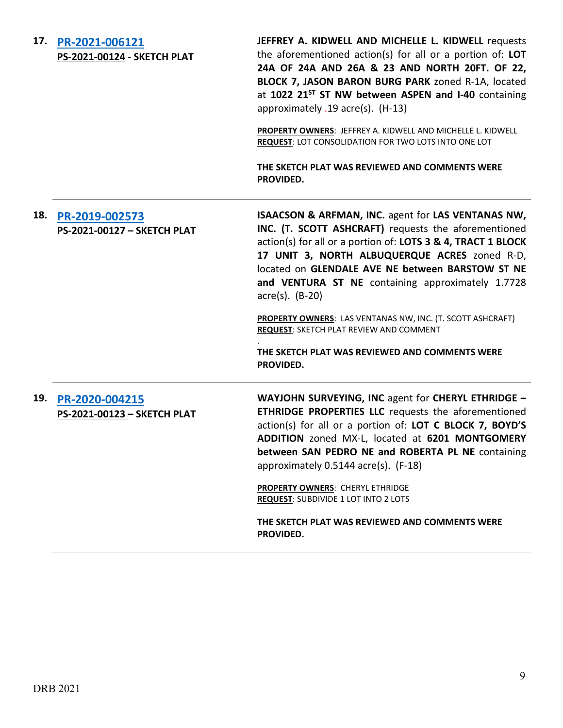**17. [PR-2021-006121](http://data.cabq.gov/government/planning/DRB/PR-2021-006121/DRB%20Submittals/PR-2021-006121_Oct_27_2021%20(Sketch)/Application/) PS-2021-00124 - SKETCH PLAT JEFFREY A. KIDWELL AND MICHELLE L. KIDWELL** requests the aforementioned action(s) for all or a portion of: **LOT 24A OF 24A AND 26A & 23 AND NORTH 20FT. OF 22, BLOCK 7, JASON BARON BURG PARK** zoned R-1A, located at **1022 21ST ST NW between ASPEN and I-40** containing approximately .19 acre(s). (H-13) **PROPERTY OWNERS**: JEFFREY A. KIDWELL AND MICHELLE L. KIDWELL **REQUEST**: LOT CONSOLIDATION FOR TWO LOTS INTO ONE LOT **THE SKETCH PLAT WAS REVIEWED AND COMMENTS WERE PROVIDED. 18. [PR-2019-002573](http://data.cabq.gov/government/planning/DRB/PR-2019-002573/DRB%20Submittals/PR-2019-002573_Oct_27_2021%20(Sketch)/Application/Glendale%20Subdivision%20Sketch%20Plat%20DRB%20Application%20(002).pdf) PS-2021-00127 – SKETCH PLAT ISAACSON & ARFMAN, INC.** agent for **LAS VENTANAS NW, INC. (T. SCOTT ASHCRAFT)** requests the aforementioned action(s) for all or a portion of: **LOTS 3 & 4, TRACT 1 BLOCK 17 UNIT 3, NORTH ALBUQUERQUE ACRES** zoned R-D, located on **GLENDALE AVE NE between BARSTOW ST NE and VENTURA ST NE** containing approximately 1.7728 acre(s). (B-20) **PROPERTY OWNERS**: LAS VENTANAS NW, INC. (T. SCOTT ASHCRAFT) **REQUEST**: SKETCH PLAT REVIEW AND COMMENT . **THE SKETCH PLAT WAS REVIEWED AND COMMENTS WERE PROVIDED. 19. [PR-2020-004215](http://data.cabq.gov/government/planning/DRB/PR-2020-004215/DRB%20Submittals/PR-2020-004215_Oct_27_2021%20(Sketch)/Application/SP-9-03-2021%20Sketch%20Plat%20Submittal-1%20(002).pdf) PS-2021-00123 – SKETCH PLAT WAYJOHN SURVEYING, INC** agent for **CHERYL ETHRIDGE – ETHRIDGE PROPERTIES LLC** requests the aforementioned action(s) for all or a portion of: **LOT C BLOCK 7, BOYD'S ADDITION** zoned MX-L, located at **6201 MONTGOMERY between SAN PEDRO NE and ROBERTA PL NE** containing approximately 0.5144 acre(s). (F-18) **PROPERTY OWNERS**: CHERYL ETHRIDGE **REQUEST**: SUBDIVIDE 1 LOT INTO 2 LOTS **THE SKETCH PLAT WAS REVIEWED AND COMMENTS WERE PROVIDED.**